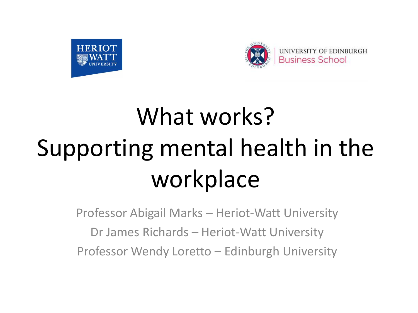



# What works? Supporting mental health in the workplace

Professor Abigail Marks – Heriot-Watt University Dr James Richards – Heriot-Watt University Professor Wendy Loretto – Edinburgh University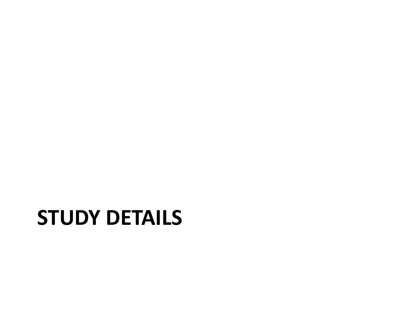### **STUDY DETAILS**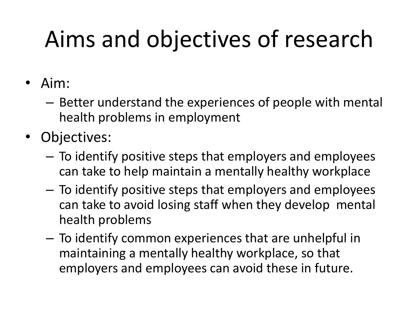## Aims and objectives of research

- Aim:
	- Better understand the experiences of people with mental health problems in employment
- Objectives:
	- To identify positive steps that employers and employees can take to help maintain a mentally healthy workplace
	- To identify positive steps that employers and employees can take to avoid losing staff when they develop mental health problems
	- To identify common experiences that are unhelpful in maintaining a mentally healthy workplace, so that employers and employees can avoid these in future.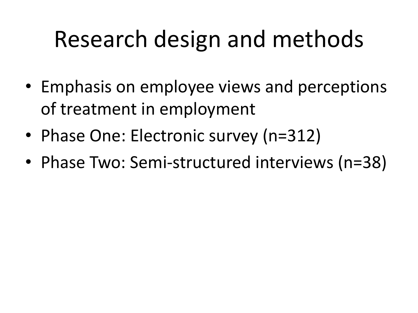### Research design and methods

- Emphasis on employee views and perceptions of treatment in employment
- Phase One: Electronic survey (n=312)
- Phase Two: Semi-structured interviews (n=38)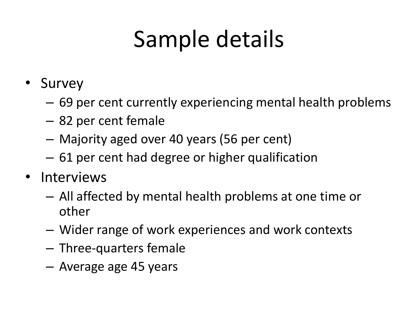## Sample details

- Survey
	- 69 per cent currently experiencing mental health problems
	- 82 per cent female
	- Majority aged over 40 years (56 per cent)
	- 61 per cent had degree or higher qualification
- Interviews
	- All affected by mental health problems at one time or other
	- Wider range of work experiences and work contexts
	- Three-quarters female
	- Average age 45 years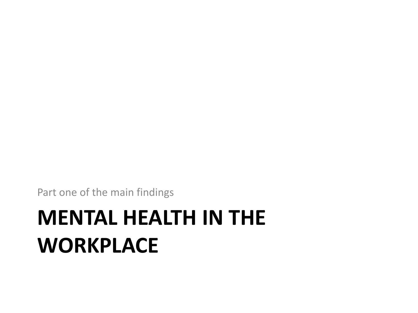Part one of the main findings

### **MENTAL HEALTH IN THE WORKPLACE**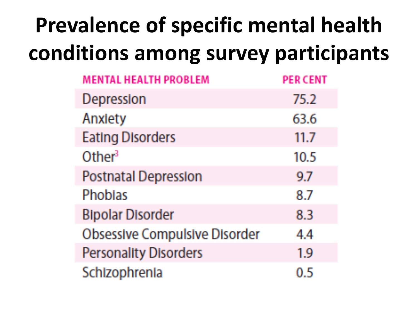### **Prevalence of specific mental health conditions among survey participants**

| <b>MENTAL HEALTH PROBLEM</b>         | <b>PER CENT</b> |
|--------------------------------------|-----------------|
| Depression                           | 75.2            |
| Anxiety                              | 63.6            |
| <b>Eating Disorders</b>              | 11.7            |
| Other <sup>3</sup>                   | 10.5            |
| <b>Postnatal Depression</b>          | 9.7             |
| <b>Phobias</b>                       | 8.7             |
| <b>Bipolar Disorder</b>              | 8.3             |
| <b>Obsessive Compulsive Disorder</b> | 4.4             |
| <b>Personality Disorders</b>         | 1.9             |
| Schizophrenia                        | 0 5             |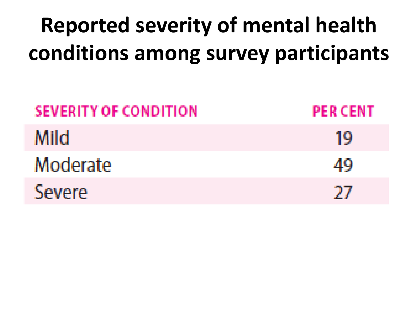### **Reported severity of mental health conditions among survey participants**

| <b>SEVERITY OF CONDITION</b> | <b>PER CENT</b> |
|------------------------------|-----------------|
| Mild                         | 19              |
| Moderate                     | 49              |
| Severe                       | 27              |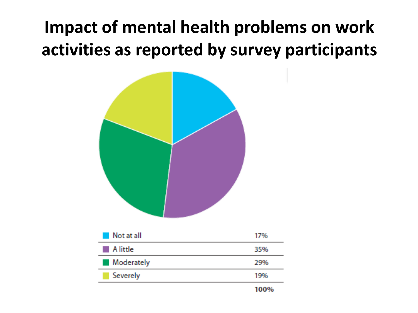### **Impact of mental health problems on work activities as reported by survey participants**

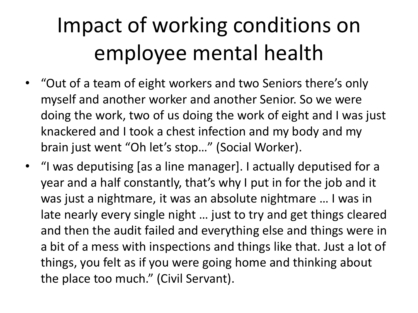### Impact of working conditions on employee mental health

- "Out of a team of eight workers and two Seniors there's only myself and another worker and another Senior. So we were doing the work, two of us doing the work of eight and I was just knackered and I took a chest infection and my body and my brain just went "Oh let's stop…" (Social Worker).
- "I was deputising [as a line manager]. I actually deputised for a year and a half constantly, that's why I put in for the job and it was just a nightmare, it was an absolute nightmare … I was in late nearly every single night … just to try and get things cleared and then the audit failed and everything else and things were in a bit of a mess with inspections and things like that. Just a lot of things, you felt as if you were going home and thinking about the place too much." (Civil Servant).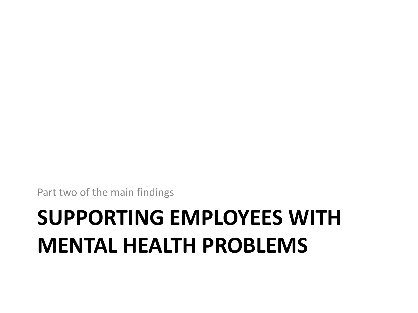## **SUPPORTING EMPLOYEES WITH MENTAL HEALTH PROBLEMS**

Part two of the main findings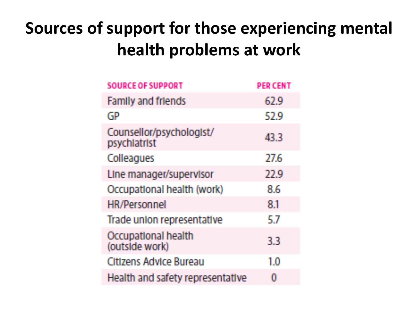### **Sources of support for those experiencing mental health problems at work**

| <b>SOURCE OF SUPPORT</b>                 | PER CENT |
|------------------------------------------|----------|
| <b>Family and friends</b>                | 62.9     |
| GP                                       | 52.9     |
| Counsellor/psychologist/<br>psychiatrist | 43.3     |
| Colleagues                               | 27.6     |
| Line manager/supervisor                  | 22.9     |
| Occupational health (work)               | 8.6      |
| <b>HR/Personnel</b>                      | 8.1      |
| Trade union representative               | 5.7      |
| Occupational health<br>(outside work)    | 33       |
| <b>Citizens Advice Bureau</b>            | 1.0      |
| Health and safety representative         |          |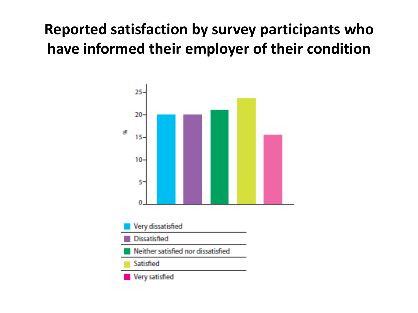#### **Reported satisfaction by survey participants who have informed their employer of their condition**

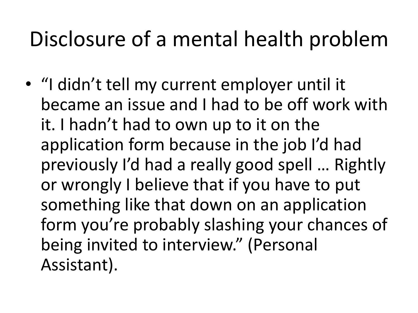### Disclosure of a mental health problem

• "I didn't tell my current employer until it became an issue and I had to be off work with it. I hadn't had to own up to it on the application form because in the job I'd had previously I'd had a really good spell … Rightly or wrongly I believe that if you have to put something like that down on an application form you're probably slashing your chances of being invited to interview." (Personal Assistant).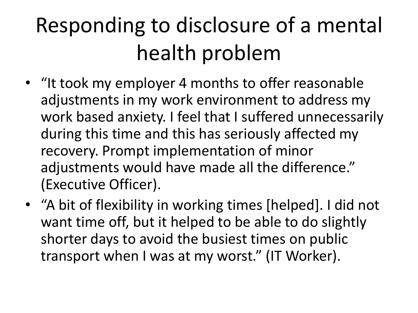### Responding to disclosure of a mental health problem

- "It took my employer 4 months to offer reasonable adjustments in my work environment to address my work based anxiety. I feel that I suffered unnecessarily during this time and this has seriously affected my recovery. Prompt implementation of minor adjustments would have made all the difference." (Executive Officer).
- "A bit of flexibility in working times [helped]. I did not want time off, but it helped to be able to do slightly shorter days to avoid the busiest times on public transport when I was at my worst." (IT Worker).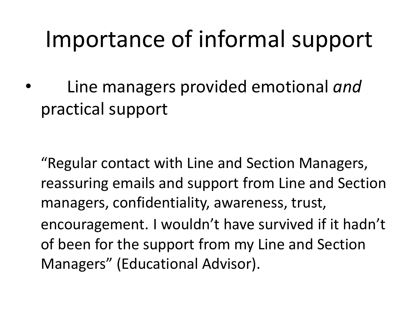### Importance of informal support

• Line managers provided emotional *and* practical support

"Regular contact with Line and Section Managers, reassuring emails and support from Line and Section managers, confidentiality, awareness, trust, encouragement. I wouldn't have survived if it hadn't of been for the support from my Line and Section Managers" (Educational Advisor).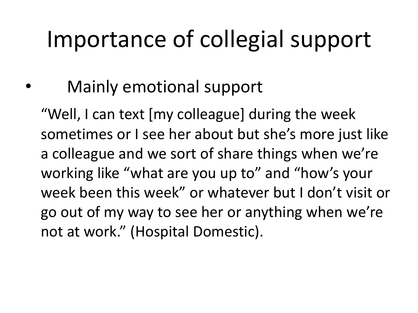### Importance of collegial support

### • Mainly emotional support

"Well, I can text [my colleague] during the week sometimes or I see her about but she's more just like a colleague and we sort of share things when we're working like "what are you up to" and "how's your week been this week" or whatever but I don't visit or go out of my way to see her or anything when we're not at work." (Hospital Domestic).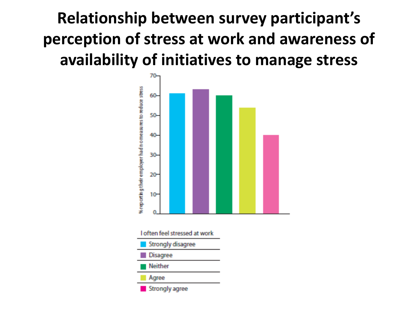### **Relationship between survey participant's perception of stress at work and awareness of availability of initiatives to manage stress**





**Neither** 

Agree

Strongly agree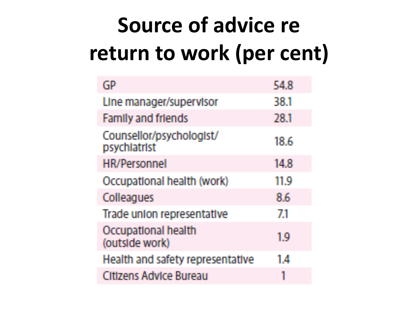## **Source of advice re return to work (per cent)**

| GP                                       | 54.8 |
|------------------------------------------|------|
| Line manager/supervisor                  | 38.1 |
| <b>Family and friends</b>                | 28.1 |
| Counsellor/psychologist/<br>psychiatrist | 18.6 |
| <b>HR/Personnel</b>                      | 14.8 |
| Occupational health (work)               | 11.9 |
| Colleagues                               | 8.6  |
| Trade union representative               | 71   |
| Occupational health<br>(outside work)    | 1.9  |
| Health and safety representative         | 14   |
| Citizens Advice Bureau                   |      |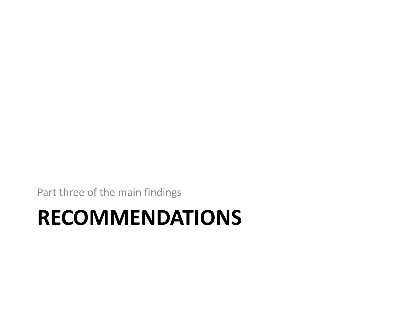Part three of the main findings

### **RECOMMENDATIONS**